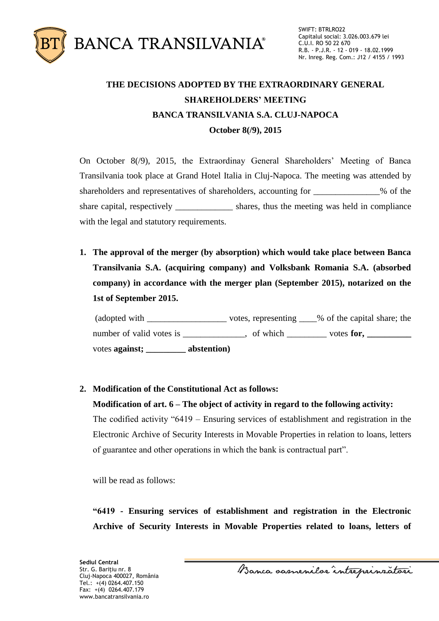

## **THE DECISIONS ADOPTED BY THE EXTRAORDINARY GENERAL SHAREHOLDERS' MEETING BANCA TRANSILVANIA S.A. CLUJ-NAPOCA October 8(/9), 2015**

On October 8(/9), 2015, the Extraordinay General Shareholders' Meeting of Banca Transilvania took place at Grand Hotel Italia in Cluj-Napoca. The meeting was attended by shareholders and representatives of shareholders, accounting for \_\_\_\_\_\_\_\_\_\_\_\_% of the share capital, respectively \_\_\_\_\_\_\_\_\_\_\_\_\_\_ shares, thus the meeting was held in compliance with the legal and statutory requirements.

**1. The approval of the merger (by absorption) which would take place between Banca Transilvania S.A. (acquiring company) and Volksbank Romania S.A. (absorbed company) in accordance with the merger plan (September 2015), notarized on the 1st of September 2015.** 

(adopted with \_\_\_\_\_\_\_\_\_\_\_\_\_\_\_\_\_\_ votes, representing \_\_\_\_% of the capital share; the number of valid votes is \_\_\_\_\_\_\_\_\_\_\_, of which \_\_\_\_\_\_\_\_ votes **for,** \_\_\_\_\_\_\_\_\_\_\_ votes **against; \_\_\_\_\_\_\_\_\_ abstention)**

## **2. Modification of the Constitutional Act as follows:**

## **Modification of art. 6 – The object of activity in regard to the following activity:**

The codified activity "6419 – Ensuring services of establishment and registration in the Electronic Archive of Security Interests in Movable Properties in relation to loans, letters of guarantee and other operations in which the bank is contractual part".

will be read as follows:

**"6419 - Ensuring services of establishment and registration in the Electronic Archive of Security Interests in Movable Properties related to loans, letters of** 

Banca samenilor intreprinzatori